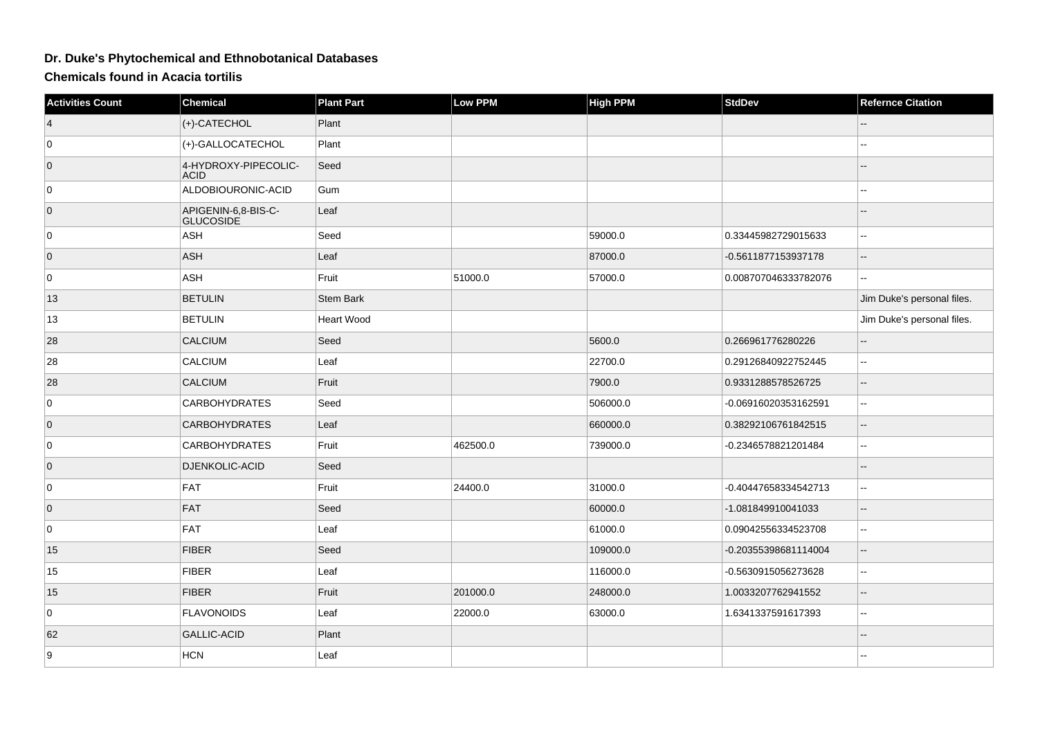## **Dr. Duke's Phytochemical and Ethnobotanical Databases**

**Chemicals found in Acacia tortilis**

| <b>Activities Count</b> | <b>Chemical</b>                         | <b>Plant Part</b> | Low PPM  | <b>High PPM</b> | <b>StdDev</b>        | <b>Refernce Citation</b>                      |
|-------------------------|-----------------------------------------|-------------------|----------|-----------------|----------------------|-----------------------------------------------|
| $\vert 4 \vert$         | (+)-CATECHOL                            | Plant             |          |                 |                      |                                               |
| 0                       | (+)-GALLOCATECHOL                       | Plant             |          |                 |                      |                                               |
| $\overline{0}$          | 4-HYDROXY-PIPECOLIC-<br><b>ACID</b>     | Seed              |          |                 |                      |                                               |
| 0                       | ALDOBIOURONIC-ACID                      | Gum               |          |                 |                      | шш.                                           |
| $\overline{0}$          | APIGENIN-6,8-BIS-C-<br><b>GLUCOSIDE</b> | Leaf              |          |                 |                      |                                               |
| 0                       | ASH                                     | Seed              |          | 59000.0         | 0.33445982729015633  | $\mathbf{u}$                                  |
| $\overline{0}$          | ASH                                     | Leaf              |          | 87000.0         | -0.5611877153937178  | $\mathcal{L}_{\mathcal{L}}$                   |
| 0                       | ASH                                     | Fruit             | 51000.0  | 57000.0         | 0.008707046333782076 | ш,                                            |
| 13                      | <b>BETULIN</b>                          | <b>Stem Bark</b>  |          |                 |                      | Jim Duke's personal files.                    |
| 13                      | <b>BETULIN</b>                          | <b>Heart Wood</b> |          |                 |                      | Jim Duke's personal files.                    |
| 28                      | <b>CALCIUM</b>                          | Seed              |          | 5600.0          | 0.266961776280226    | $\mathord{\hspace{1pt}\text{--}\hspace{1pt}}$ |
| 28                      | CALCIUM                                 | Leaf              |          | 22700.0         | 0.29126840922752445  | --                                            |
| 28                      | CALCIUM                                 | Fruit             |          | 7900.0          | 0.9331288578526725   | --                                            |
| $\overline{0}$          | <b>CARBOHYDRATES</b>                    | Seed              |          | 506000.0        | -0.06916020353162591 | $\mathbf{u}$                                  |
| $\overline{0}$          | <b>CARBOHYDRATES</b>                    | Leaf              |          | 660000.0        | 0.38292106761842515  | $\overline{\phantom{a}}$                      |
| 0                       | <b>CARBOHYDRATES</b>                    | Fruit             | 462500.0 | 739000.0        | -0.2346578821201484  | ÷÷                                            |
| $\overline{0}$          | <b>DJENKOLIC-ACID</b>                   | Seed              |          |                 |                      |                                               |
| 0                       | FAT                                     | Fruit             | 24400.0  | 31000.0         | -0.40447658334542713 | $\sim$                                        |
| $\overline{0}$          | FAT                                     | Seed              |          | 60000.0         | -1.081849910041033   | $\overline{\phantom{a}}$                      |
| $\overline{0}$          | FAT                                     | Leaf              |          | 61000.0         | 0.09042556334523708  | $\overline{a}$                                |
| 15                      | <b>FIBER</b>                            | Seed              |          | 109000.0        | -0.20355398681114004 | --                                            |
| 15                      | <b>FIBER</b>                            | Leaf              |          | 116000.0        | -0.5630915056273628  | $\sim$                                        |
| 15                      | <b>FIBER</b>                            | Fruit             | 201000.0 | 248000.0        | 1.0033207762941552   | $\sim$                                        |
| $\overline{0}$          | <b>FLAVONOIDS</b>                       | Leaf              | 22000.0  | 63000.0         | 1.6341337591617393   | --                                            |
| 62                      | GALLIC-ACID                             | Plant             |          |                 |                      |                                               |
| 9                       | <b>HCN</b>                              | Leaf              |          |                 |                      |                                               |